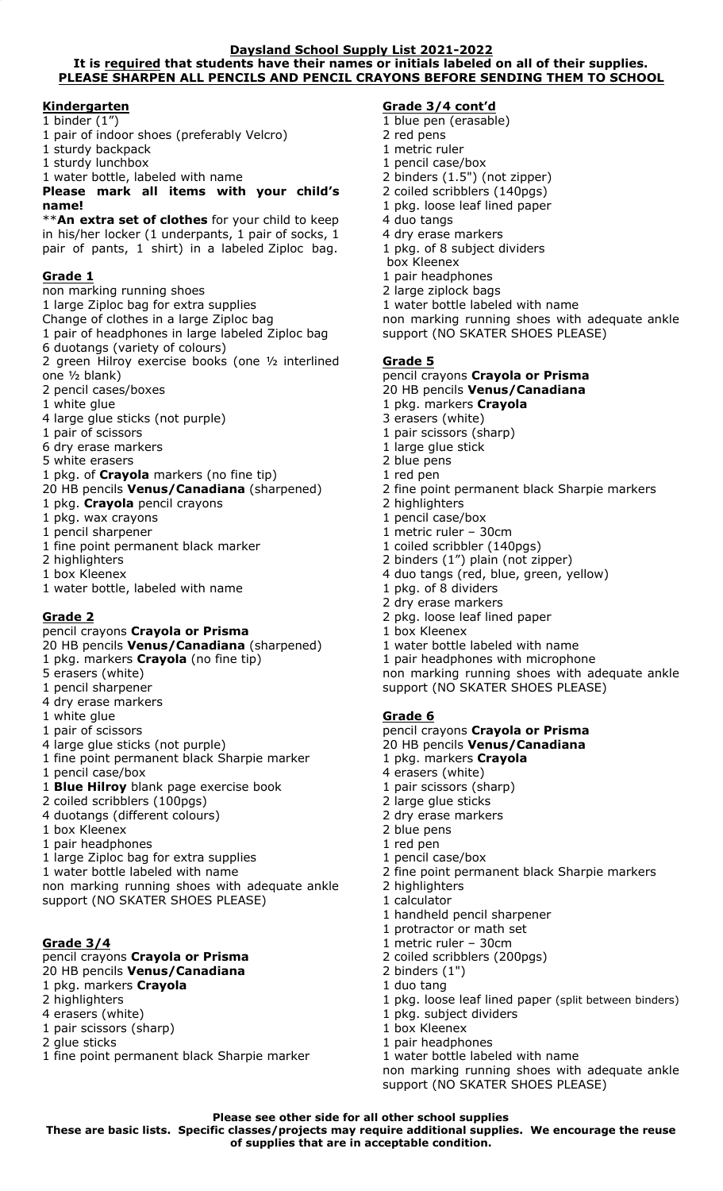#### **Daysland School Supply List 2021-2022 It is required that students have their names or initials labeled on all of their supplies. PLEASE SHARPEN ALL PENCILS AND PENCIL CRAYONS BEFORE SENDING THEM TO SCHOOL**

## **Kindergarten**

## $1$  binder  $(1'')$

- 1 pair of indoor shoes (preferably Velcro)
- 1 sturdy backpack
- 1 sturdy lunchbox
- 1 water bottle, labeled with name

## **Please mark all items with your child's name!**

\*\***An extra set of clothes** for your child to keep in his/her locker (1 underpants, 1 pair of socks, 1 pair of pants, 1 shirt) in a labeled Ziploc bag.

## **Grade 1**

non marking running shoes 1 large Ziploc bag for extra supplies Change of clothes in a large Ziploc bag 1 pair of headphones in large labeled Ziploc bag 6 duotangs (variety of colours) 2 green Hilroy exercise books (one ½ interlined one ½ blank) 2 pencil cases/boxes 1 white glue 4 large glue sticks (not purple) 1 pair of scissors 6 dry erase markers 5 white erasers 1 pkg. of **Crayola** markers (no fine tip) 20 HB pencils **Venus/Canadiana** (sharpened) 1 pkg. **Crayola** pencil crayons 1 pkg. wax crayons 1 pencil sharpener 1 fine point permanent black marker 2 highlighters 1 box Kleenex 1 water bottle, labeled with name

# **Grade 2**

pencil crayons **Crayola or Prisma**  20 HB pencils **Venus/Canadiana** (sharpened) 1 pkg. markers **Crayola** (no fine tip) 5 erasers (white) 1 pencil sharpener 4 dry erase markers 1 white glue 1 pair of scissors 4 large glue sticks (not purple) 1 fine point permanent black Sharpie marker 1 pencil case/box 1 **Blue Hilroy** blank page exercise book 2 coiled scribblers (100pgs) 4 duotangs (different colours) 1 box Kleenex 1 pair headphones 1 large Ziploc bag for extra supplies 1 water bottle labeled with name non marking running shoes with adequate ankle support (NO SKATER SHOES PLEASE)

## **Grade 3/4**

pencil crayons **Crayola or Prisma**  20 HB pencils **Venus/Canadiana**  1 pkg. markers **Crayola**  2 highlighters 4 erasers (white) 1 pair scissors (sharp) 2 glue sticks 1 fine point permanent black Sharpie marker

## **Grade 3/4 cont'd**

- 1 blue pen (erasable)
- 2 red pens
- 1 metric ruler
- 1 pencil case/box
- 2 binders (1.5") (not zipper)
- 2 coiled scribblers (140pgs) 1 pkg. loose leaf lined paper
- 4 duo tangs
- 4 dry erase markers
- 1 pkg. of 8 subject dividers
- box Kleenex
- 1 pair headphones
- 2 large ziplock bags
- 1 water bottle labeled with name

non marking running shoes with adequate ankle support (NO SKATER SHOES PLEASE)

#### **Grade 5**

#### pencil crayons **Crayola or Prisma**

20 HB pencils **Venus/Canadiana**

- 1 pkg. markers **Crayola**
- 3 erasers (white)
- 1 pair scissors (sharp)
- 1 large glue stick
- 2 blue pens
- 1 red pen
- 2 fine point permanent black Sharpie markers
- 2 highlighters
- 1 pencil case/box
- 1 metric ruler 30cm
- 1 coiled scribbler (140pgs)
- 2 binders (1") plain (not zipper)
- 4 duo tangs (red, blue, green, yellow)
- 1 pkg. of 8 dividers
- 2 dry erase markers
- 2 pkg. loose leaf lined paper
- 1 box Kleenex
- 1 water bottle labeled with name

1 pair headphones with microphone

non marking running shoes with adequate ankle support (NO SKATER SHOES PLEASE)

## **Grade 6**

pencil crayons **Crayola or Prisma**  20 HB pencils **Venus/Canadiana**  1 pkg. markers **Crayola**  4 erasers (white) 1 pair scissors (sharp) 2 large glue sticks 2 dry erase markers 2 blue pens 1 red pen 1 pencil case/box 2 fine point permanent black Sharpie markers 2 highlighters 1 calculator 1 handheld pencil sharpener 1 protractor or math set 1 metric ruler – 30cm 2 coiled scribblers (200pgs) 2 binders (1") 1 duo tang 1 pkg. loose leaf lined paper (split between binders) 1 pkg. subject dividers 1 box Kleenex 1 pair headphones 1 water bottle labeled with name non marking running shoes with adequate ankle support (NO SKATER SHOES PLEASE)